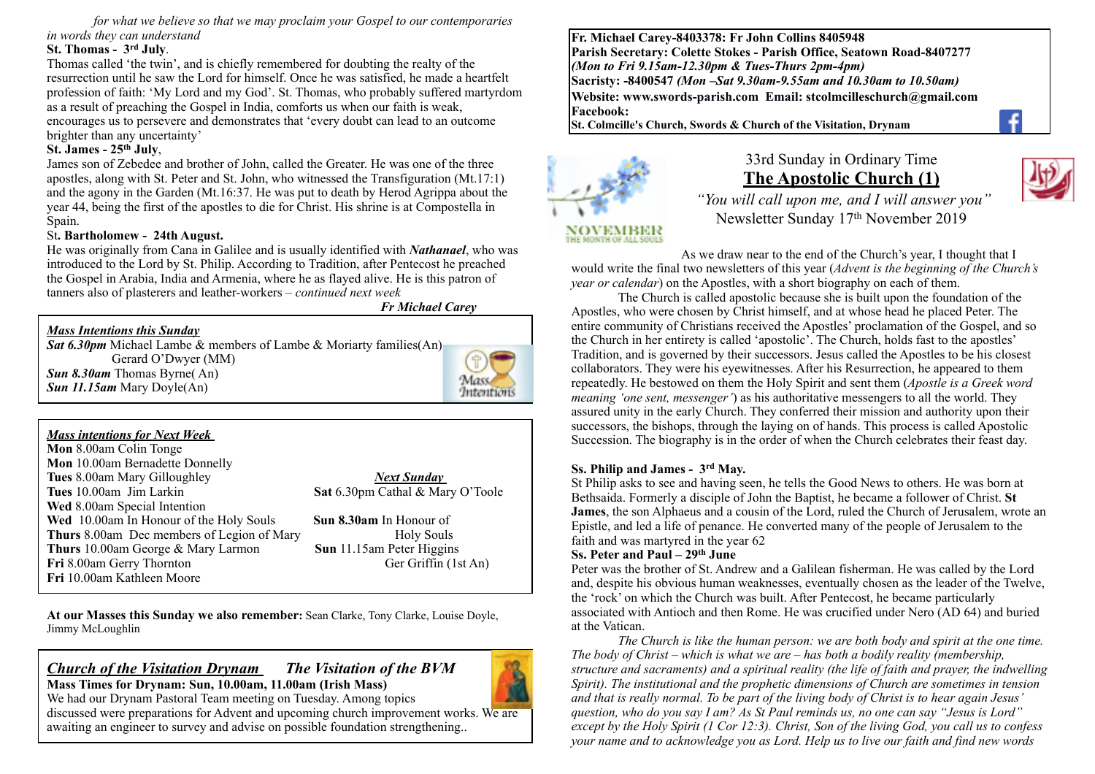*for what we believe so that we may proclaim your Gospel to our contemporaries in words they can understand*

#### **St. Thomas - 3rd July**.

Thomas called 'the twin', and is chiefly remembered for doubting the realty of the resurrection until he saw the Lord for himself. Once he was satisfied, he made a heartfelt profession of faith: 'My Lord and my God'. St. Thomas, who probably suffered martyrdom as a result of preaching the Gospel in India, comforts us when our faith is weak, encourages us to persevere and demonstrates that 'every doubt can lead to an outcome brighter than any uncertainty'

#### **St. James - 25th July**,

James son of Zebedee and brother of John, called the Greater. He was one of the three apostles, along with St. Peter and St. John, who witnessed the Transfiguration (Mt.17:1) and the agony in the Garden (Mt.16:37. He was put to death by Herod Agrippa about the year 44, being the first of the apostles to die for Christ. His shrine is at Compostella in Spain

#### St**. Bartholomew - 24th August.**

He was originally from Cana in Galilee and is usually identified with *Nathanael*, who was introduced to the Lord by St. Philip. According to Tradition, after Pentecost he preached the Gospel in Arabia, India and Armenia, where he as flayed alive. He is this patron of tanners also of plasterers and leather-workers – *continued next week*

*Fr Michael Carey*

#### *Mass Intentions this Sunday Sat 6.30pm* Michael Lambe & members of Lambe & Moriarty families(An) Gerard O'Dwyer (MM) *Sun 8.30am* Thomas Byrne( An) *Sun 11.15am* Mary Doyle(An) Intention

*Mass intentions for Next Week*  **Mon** 8.00am Colin Tonge **Mon** 10.00am Bernadette Donnelly **Tues** 8.00am Mary Gilloughley *Next Sunday*  **Tues** 10.00am Jim Larkin **Sat** 6.30pm Cathal & Mary O'Toole **Wed** 8.00am Special Intention **Wed** 10.00am In Honour of the Holy Souls **Sun 8.30am** In Honour of **Thurs** 8.00am Dec members of Legion of Mary Holy Souls **Thurs** 10.00am George & Mary Larmon **Sun** 11.15am Peter Higgins **Fri** 8.00am Gerry Thornton Ger Griffin (1st An) **Fri** 10.00am Kathleen Moore

**At our Masses this Sunday we also remember:** Sean Clarke, Tony Clarke, Louise Doyle, Jimmy McLoughlin

#### *Church of the Visitation Drynam**The Visitation of the BVM* **Mass Times for Drynam: Sun, 10.00am, 11.00am (Irish Mass)**

We had our Drynam Pastoral Team meeting on Tuesday. Among topics discussed were preparations for Advent and upcoming church improvement works. We are awaiting an engineer to survey and advise on possible foundation strengthening..

**Fr. Michael Carey-8403378: Fr John Collins 8405948 Parish Secretary: Colette Stokes - Parish Office, Seatown Road-8407277**  *(Mon to Fri 9.15am-12.30pm & Tues-Thurs 2pm-4pm)*  **Sacristy: -8400547** *(Mon –Sat 9.30am-9.55am and 10.30am to 10.50am)* **Website: [www.swords-parish.com Email:](http://www.swords-parish.com%20%20email) stcolmcilleschurch@gmail.com Facebook:** 

**St. Colmcille's Church, Swords & Church of the Visitation, Drynam**



# 33rd Sunday in Ordinary Time **The Apostolic Church (1)**

 *"You will call upon me, and I will answer you"*  Newsletter Sunday 17th November 2019

As we draw near to the end of the Church's year, I thought that I would write the final two newsletters of this year (*Advent is the beginning of the Church's year or calendar*) on the Apostles, with a short biography on each of them.

The Church is called apostolic because she is built upon the foundation of the Apostles, who were chosen by Christ himself, and at whose head he placed Peter. The entire community of Christians received the Apostles' proclamation of the Gospel, and so the Church in her entirety is called 'apostolic'. The Church, holds fast to the apostles' Tradition, and is governed by their successors. Jesus called the Apostles to be his closest collaborators. They were his eyewitnesses. After his Resurrection, he appeared to them repeatedly. He bestowed on them the Holy Spirit and sent them (*Apostle is a Greek word meaning 'one sent, messenger'*) as his authoritative messengers to all the world. They assured unity in the early Church. They conferred their mission and authority upon their successors, the bishops, through the laying on of hands. This process is called Apostolic Succession. The biography is in the order of when the Church celebrates their feast day.

#### **Ss. Philip and James - 3rd May.**

St Philip asks to see and having seen, he tells the Good News to others. He was born at Bethsaida. Formerly a disciple of John the Baptist, he became a follower of Christ. **St James**, the son Alphaeus and a cousin of the Lord, ruled the Church of Jerusalem, wrote an Epistle, and led a life of penance. He converted many of the people of Jerusalem to the faith and was martyred in the year 62

#### **Ss. Peter and Paul – 29th June**

Peter was the brother of St. Andrew and a Galilean fisherman. He was called by the Lord and, despite his obvious human weaknesses, eventually chosen as the leader of the Twelve, the 'rock' on which the Church was built. After Pentecost, he became particularly associated with Antioch and then Rome. He was crucified under Nero (AD 64) and buried at the Vatican.

*The Church is like the human person: we are both body and spirit at the one time. The body of Christ – which is what we are – has both a bodily reality (membership, structure and sacraments) and a spiritual reality (the life of faith and prayer, the indwelling Spirit). The institutional and the prophetic dimensions of Church are sometimes in tension and that is really normal. To be part of the living body of Christ is to hear again Jesus' question, who do you say I am? As St Paul reminds us, no one can say "Jesus is Lord" except by the Holy Spirit (1 Cor 12:3). Christ, Son of the living God, you call us to confess your name and to acknowledge you as Lord. Help us to live our faith and find new words*